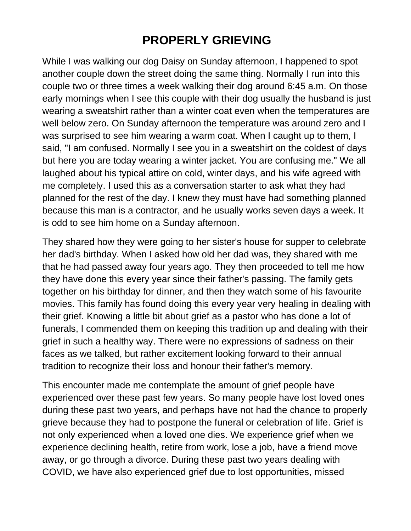## **PROPERLY GRIEVING**

While I was walking our dog Daisy on Sunday afternoon, I happened to spot another couple down the street doing the same thing. Normally I run into this couple two or three times a week walking their dog around 6:45 a.m. On those early mornings when I see this couple with their dog usually the husband is just wearing a sweatshirt rather than a winter coat even when the temperatures are well below zero. On Sunday afternoon the temperature was around zero and I was surprised to see him wearing a warm coat. When I caught up to them, I said, "I am confused. Normally I see you in a sweatshirt on the coldest of days but here you are today wearing a winter jacket. You are confusing me." We all laughed about his typical attire on cold, winter days, and his wife agreed with me completely. I used this as a conversation starter to ask what they had planned for the rest of the day. I knew they must have had something planned because this man is a contractor, and he usually works seven days a week. It is odd to see him home on a Sunday afternoon.

They shared how they were going to her sister's house for supper to celebrate her dad's birthday. When I asked how old her dad was, they shared with me that he had passed away four years ago. They then proceeded to tell me how they have done this every year since their father's passing. The family gets together on his birthday for dinner, and then they watch some of his favourite movies. This family has found doing this every year very healing in dealing with their grief. Knowing a little bit about grief as a pastor who has done a lot of funerals, I commended them on keeping this tradition up and dealing with their grief in such a healthy way. There were no expressions of sadness on their faces as we talked, but rather excitement looking forward to their annual tradition to recognize their loss and honour their father's memory.

This encounter made me contemplate the amount of grief people have experienced over these past few years. So many people have lost loved ones during these past two years, and perhaps have not had the chance to properly grieve because they had to postpone the funeral or celebration of life. Grief is not only experienced when a loved one dies. We experience grief when we experience declining health, retire from work, lose a job, have a friend move away, or go through a divorce. During these past two years dealing with COVID, we have also experienced grief due to lost opportunities, missed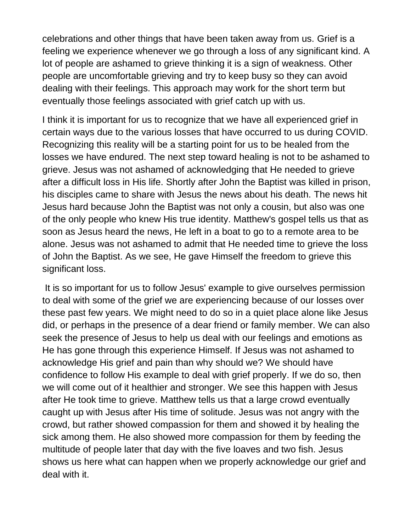celebrations and other things that have been taken away from us. Grief is a feeling we experience whenever we go through a loss of any significant kind. A lot of people are ashamed to grieve thinking it is a sign of weakness. Other people are uncomfortable grieving and try to keep busy so they can avoid dealing with their feelings. This approach may work for the short term but eventually those feelings associated with grief catch up with us.

I think it is important for us to recognize that we have all experienced grief in certain ways due to the various losses that have occurred to us during COVID. Recognizing this reality will be a starting point for us to be healed from the losses we have endured. The next step toward healing is not to be ashamed to grieve. Jesus was not ashamed of acknowledging that He needed to grieve after a difficult loss in His life. Shortly after John the Baptist was killed in prison, his disciples came to share with Jesus the news about his death. The news hit Jesus hard because John the Baptist was not only a cousin, but also was one of the only people who knew His true identity. Matthew's gospel tells us that as soon as Jesus heard the news, He left in a boat to go to a remote area to be alone. Jesus was not ashamed to admit that He needed time to grieve the loss of John the Baptist. As we see, He gave Himself the freedom to grieve this significant loss.

It is so important for us to follow Jesus' example to give ourselves permission to deal with some of the grief we are experiencing because of our losses over these past few years. We might need to do so in a quiet place alone like Jesus did, or perhaps in the presence of a dear friend or family member. We can also seek the presence of Jesus to help us deal with our feelings and emotions as He has gone through this experience Himself. If Jesus was not ashamed to acknowledge His grief and pain than why should we? We should have confidence to follow His example to deal with grief properly. If we do so, then we will come out of it healthier and stronger. We see this happen with Jesus after He took time to grieve. Matthew tells us that a large crowd eventually caught up with Jesus after His time of solitude. Jesus was not angry with the crowd, but rather showed compassion for them and showed it by healing the sick among them. He also showed more compassion for them by feeding the multitude of people later that day with the five loaves and two fish. Jesus shows us here what can happen when we properly acknowledge our grief and deal with it.